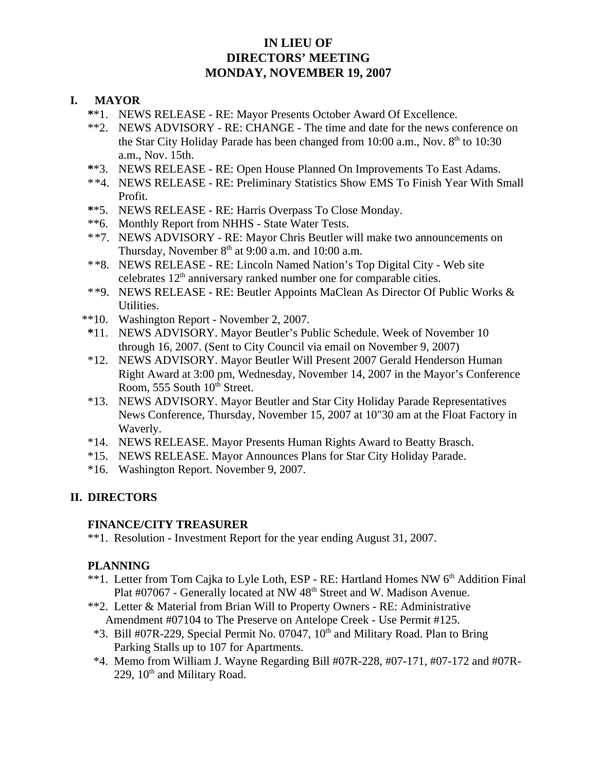# **IN LIEU OF DIRECTORS' MEETING MONDAY, NOVEMBER 19, 2007**

### **I. MAYOR**

- **\***\*1. NEWS RELEASE RE: Mayor Presents October Award Of Excellence.
- \*\*2. NEWS ADVISORY RE: CHANGE The time and date for the news conference on the Star City Holiday Parade has been changed from  $10:00$  a.m., Nov.  $8<sup>th</sup>$  to  $10:30$ a.m., Nov. 15th.
- **\***\*3. NEWS RELEASE RE: Open House Planned On Improvements To East Adams.
- \*\*4. NEWS RELEASE RE: Preliminary Statistics Show EMS To Finish Year With Small Profit.
- **\***\*5. NEWS RELEASE RE: Harris Overpass To Close Monday.
- \*\*6. Monthly Report from NHHS State Water Tests.
- \*\*7. NEWS ADVISORY RE: Mayor Chris Beutler will make two announcements on Thursday, November  $8<sup>th</sup>$  at 9:00 a.m. and 10:00 a.m.
- \*\*8. NEWS RELEASE RE: Lincoln Named Nation's Top Digital City Web site celebrates 12<sup>th</sup> anniversary ranked number one for comparable cities.
- \*\*9. NEWS RELEASE RE: Beutler Appoints MaClean As Director Of Public Works & Utilities.
- \*\*10. Washington Report November 2, 2007.
- **\***11. NEWS ADVISORY. Mayor Beutler's Public Schedule. Week of November 10 through 16, 2007. (Sent to City Council via email on November 9, 2007)
- \*12. NEWS ADVISORY. Mayor Beutler Will Present 2007 Gerald Henderson Human Right Award at 3:00 pm, Wednesday, November 14, 2007 in the Mayor's Conference Room, 555 South  $10<sup>th</sup>$  Street.
- \*13. NEWS ADVISORY. Mayor Beutler and Star City Holiday Parade Representatives News Conference, Thursday, November 15, 2007 at 10"30 am at the Float Factory in Waverly.
- \*14. NEWS RELEASE. Mayor Presents Human Rights Award to Beatty Brasch.
- \*15. NEWS RELEASE. Mayor Announces Plans for Star City Holiday Parade.
- \*16. Washington Report. November 9, 2007.

### **II. DIRECTORS**

#### **FINANCE/CITY TREASURER**

\*\*1. Resolution - Investment Report for the year ending August 31, 2007.

#### **PLANNING**

- \*\*1. Letter from Tom Cajka to Lyle Loth, ESP RE: Hartland Homes NW 6<sup>th</sup> Addition Final Plat #07067 - Generally located at NW 48<sup>th</sup> Street and W. Madison Avenue.
- \*\*2. Letter & Material from Brian Will to Property Owners RE: Administrative Amendment #07104 to The Preserve on Antelope Creek - Use Permit #125.
- $*3.$  Bill #07R-229, Special Permit No. 07047,  $10<sup>th</sup>$  and Military Road. Plan to Bring Parking Stalls up to 107 for Apartments.
- \*4. Memo from William J. Wayne Regarding Bill #07R-228, #07-171, #07-172 and #07R-229,  $10<sup>th</sup>$  and Military Road.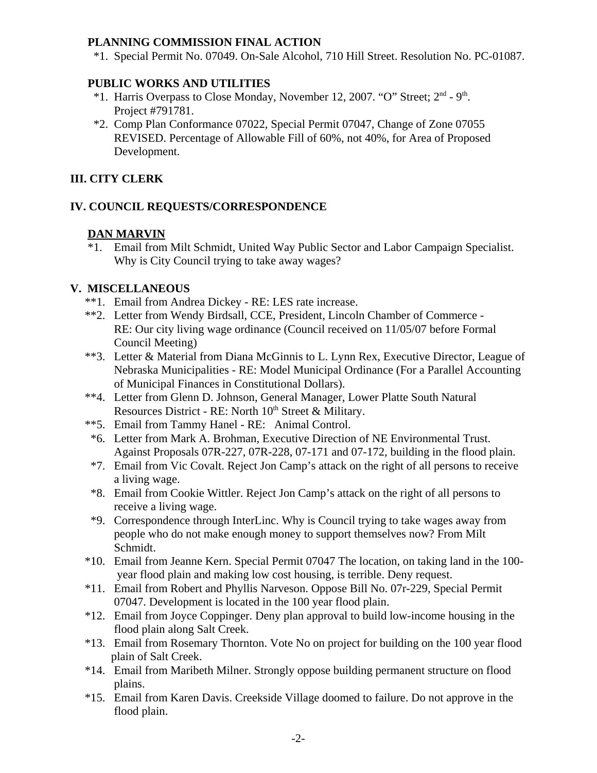## **PLANNING COMMISSION FINAL ACTION**

\*1. Special Permit No. 07049. On-Sale Alcohol, 710 Hill Street. Resolution No. PC-01087.

# **PUBLIC WORKS AND UTILITIES**

- $*1$ . Harris Overpass to Close Monday, November 12, 2007. "O" Street;  $2<sup>nd</sup>$  9<sup>th</sup>. Project #791781.
- \*2. Comp Plan Conformance 07022, Special Permit 07047, Change of Zone 07055 REVISED. Percentage of Allowable Fill of 60%, not 40%, for Area of Proposed Development.

# **III. CITY CLERK**

### **IV. COUNCIL REQUESTS/CORRESPONDENCE**

# **DAN MARVIN**

\*1. Email from Milt Schmidt, United Way Public Sector and Labor Campaign Specialist. Why is City Council trying to take away wages?

# **V. MISCELLANEOUS**

- \*\*1. Email from Andrea Dickey RE: LES rate increase.
- \*\*2. Letter from Wendy Birdsall, CCE, President, Lincoln Chamber of Commerce RE: Our city living wage ordinance (Council received on 11/05/07 before Formal Council Meeting)
- \*\*3. Letter & Material from Diana McGinnis to L. Lynn Rex, Executive Director, League of Nebraska Municipalities - RE: Model Municipal Ordinance (For a Parallel Accounting of Municipal Finances in Constitutional Dollars).
- \*\*4. Letter from Glenn D. Johnson, General Manager, Lower Platte South Natural Resources District - RE: North  $10<sup>th</sup>$  Street & Military.
- \*\*5. Email from Tammy Hanel RE: Animal Control.
- \*6. Letter from Mark A. Brohman, Executive Direction of NE Environmental Trust. Against Proposals 07R-227, 07R-228, 07-171 and 07-172, building in the flood plain.
- \*7. Email from Vic Covalt. Reject Jon Camp's attack on the right of all persons to receive a living wage.
- \*8. Email from Cookie Wittler. Reject Jon Camp's attack on the right of all persons to receive a living wage.
- \*9. Correspondence through InterLinc. Why is Council trying to take wages away from people who do not make enough money to support themselves now? From Milt Schmidt.
- \*10. Email from Jeanne Kern. Special Permit 07047 The location, on taking land in the 100 year flood plain and making low cost housing, is terrible. Deny request.
- \*11. Email from Robert and Phyllis Narveson. Oppose Bill No. 07r-229, Special Permit 07047. Development is located in the 100 year flood plain.
- \*12. Email from Joyce Coppinger. Deny plan approval to build low-income housing in the flood plain along Salt Creek.
- \*13. Email from Rosemary Thornton. Vote No on project for building on the 100 year flood plain of Salt Creek.
- \*14. Email from Maribeth Milner. Strongly oppose building permanent structure on flood plains.
- \*15. Email from Karen Davis. Creekside Village doomed to failure. Do not approve in the flood plain.